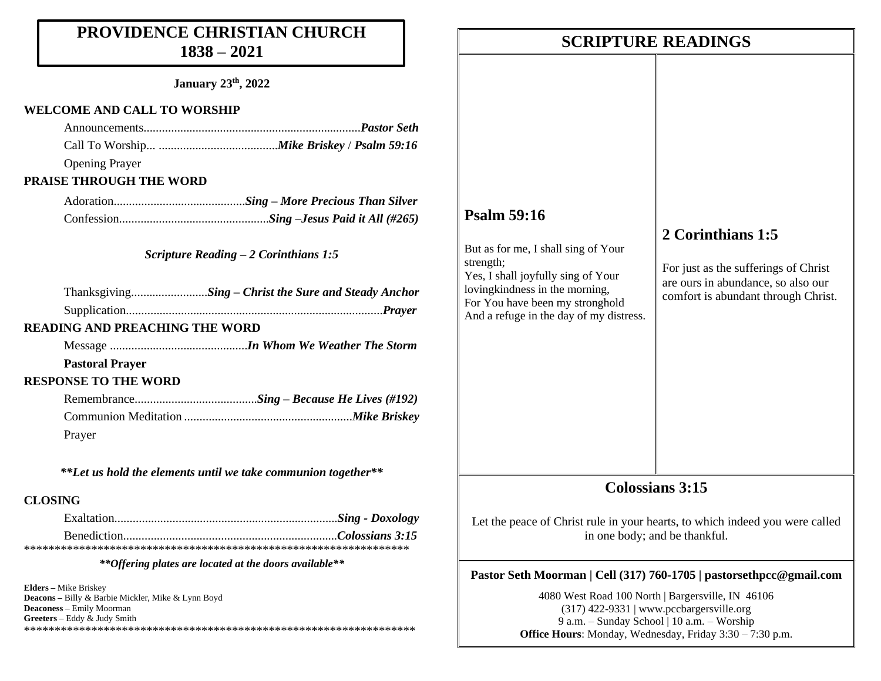## **PROVIDENCE CHRISTIAN CHURCH 1838 – 2021**

**January 23th, 2022**

### **WELCOME AND CALL TO WORSHIP**

| <b>Opening Prayer</b>                 |                                                      |
|---------------------------------------|------------------------------------------------------|
| <b>PRAISE THROUGH THE WORD</b>        |                                                      |
|                                       |                                                      |
|                                       |                                                      |
|                                       | Scripture Reading $-2$ Corinthians 1:5               |
|                                       | ThanksgivingSing – Christ the Sure and Steady Anchor |
|                                       |                                                      |
| <b>READING AND PREACHING THE WORD</b> |                                                      |
|                                       |                                                      |
| <b>Pastoral Prayer</b>                |                                                      |
| <b>RESPONSE TO THE WORD</b>           |                                                      |
|                                       |                                                      |
|                                       |                                                      |
| Prayer                                |                                                      |
|                                       |                                                      |

*\*\*Let us hold the elements until we take communion together\*\**

## **CLOSING**

*\*\*Offering plates are located at the doors available\*\**

**Elders –** Mike Briskey **Deacons –** Billy & Barbie Mickler, Mike & Lynn Boyd **Deaconess –** Emily Moorman **Greeters –** Eddy & Judy Smith \*\*\*\*\*\*\*\*\*\*\*\*\*\*\*\*\*\*\*\*\*\*\*\*\*\*\*\*\*\*\*\*\*\*\*\*\*\*\*\*\*\*\*\*\*\*\*\*\*\*\*\*\*\*\*\*\*\*\*\*\*\*\*\*

## **SCRIPTURE READINGS SCRIPTURE READINGS**

## **Psalm 59:16**

But as for me, I shall sing of Your strength; Yes, I shall joyfully sing of Your lovingkindness in the morning, For You have been my stronghold And a refuge in the day of my distress.

## **2 Corinthians 1:5**

For just as the sufferings of Christ are ours in abundance, so also our comfort is abundant through Christ.

## **Colossians 3:15**

Let the peace of Christ rule in your hearts, to which indeed you were called in one body; and be thankful.

## **Pastor Seth Moorman | Cell (317) 760-1705 | pastorsethpcc@gmail.com**

4080 West Road 100 North | Bargersville, IN 46106 (317) 422-9331 | www.pccbargersville.org 9 a.m. – Sunday School | 10 a.m. – Worship **Office Hours**: Monday, Wednesday, Friday 3:30 – 7:30 p.m.